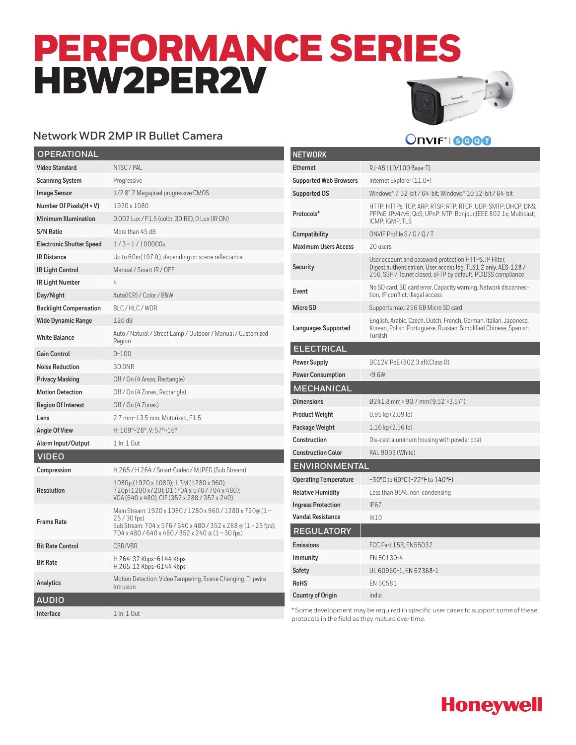# PERFORMANCE SERIES HBW2PER2V



**Onvift 19000** 

#### **Network WDR 2MP IR Bullet Camera**

| <b>OPERATIONAL</b>              |                                                                                                                                                                                             |
|---------------------------------|---------------------------------------------------------------------------------------------------------------------------------------------------------------------------------------------|
| <b>Video Standard</b>           | NTSC / PAL                                                                                                                                                                                  |
| <b>Scanning System</b>          | Progressive                                                                                                                                                                                 |
| <b>Image Sensor</b>             | 1/2.8" 2 Megapixel progressive CMOS                                                                                                                                                         |
| Number Of Pixels(H × V)         | 1920x1080                                                                                                                                                                                   |
| <b>Minimum Illumination</b>     | 0.002 Lux / F1.5 (color, 30IRE), 0 Lux (IR ON)                                                                                                                                              |
| <b>S/N Ratio</b>                | More than 45 dB                                                                                                                                                                             |
| <b>Electronic Shutter Speed</b> | $1/3 \sim 1/100000$ s                                                                                                                                                                       |
| <b>IR Distance</b>              | Up to 60m(197 ft), depending on scene reflectance                                                                                                                                           |
| <b>IR Light Control</b>         | Manual / Smart IR / OFF                                                                                                                                                                     |
| IR Light Number                 | $\overline{4}$                                                                                                                                                                              |
| Day/Night                       | Auto(ICR) / Color / B&W                                                                                                                                                                     |
| <b>Backlight Compensation</b>   | BLC/HLC/WDR                                                                                                                                                                                 |
| <b>Wide Dynamic Range</b>       | 120dB                                                                                                                                                                                       |
| <b>White Balance</b>            | Auto / Natural / Street Lamp / Outdoor / Manual / Customized<br>Region                                                                                                                      |
| <b>Gain Control</b>             | $0 - 100$                                                                                                                                                                                   |
| <b>Noise Reduction</b>          | 3D DNR                                                                                                                                                                                      |
| <b>Privacy Masking</b>          | Off / On (4 Areas, Rectangle)                                                                                                                                                               |
| <b>Motion Detection</b>         | Off / On (4 Zones, Rectangle)                                                                                                                                                               |
| <b>Region Of Interest</b>       | Off / On (4 Zones)                                                                                                                                                                          |
| Lens                            | 2.7 mm~13.5 mm, Motorized, F1.5                                                                                                                                                             |
| <b>Angle Of View</b>            | H: 109°~28°. V: 57°~16°                                                                                                                                                                     |
| Alarm Input/Output              | 1 In: 1 Out                                                                                                                                                                                 |
| <b>VIDEO</b>                    |                                                                                                                                                                                             |
| Compression                     | H.265 / H.264 / Smart Codec / MJPEG (Sub Stream)                                                                                                                                            |
| <b>Resolution</b>               | 1080p (1920 x 1080); 1.3M (1280 x 960);<br>720p (1280 x 720); D1 (704 x 576 / 704 x 480);<br>VGA (640 x 480); CIF (352 x 288 / 352 x 240)                                                   |
| <b>Frame Rate</b>               | Main Stream: 1920 x 1080 / 1280 x 960 / 1280 x 720@ (1 ~<br>25/30 fps)<br>Sub Stream: 704 x 576 / 640 x 480 / 352 x 288 @ (1 ~ 25 fps);<br>704 x 480 / 640 x 480 / 352 x 240 @ (1 ~ 30 fps) |
| <b>Bit Rate Control</b>         | CBR/VBR                                                                                                                                                                                     |
| <b>Bit Rate</b>                 | H.264: 32 Kbps-6144 Kbps<br>H.265: 12 Kbps-6144 Kbps                                                                                                                                        |
| <b>Analytics</b>                | Motion Detection, Video Tampering, Scene Changing, Tripwire<br>Intrusion                                                                                                                    |
| <b>AUDIO</b>                    |                                                                                                                                                                                             |
| Interface                       | 1 In; 1 Out                                                                                                                                                                                 |

| <b>NETWORK</b>                |                                                                                                                                                                                          |
|-------------------------------|------------------------------------------------------------------------------------------------------------------------------------------------------------------------------------------|
|                               |                                                                                                                                                                                          |
| <b>Ethernet</b>               | RJ-45 (10/100 Base-T)                                                                                                                                                                    |
| <b>Supported Web Browsers</b> | Internet Explorer (11.0+)                                                                                                                                                                |
| <b>Supported OS</b>           | Windows® 7 32-bit / 64-bit; Windows® 10 32-bit / 64-bit                                                                                                                                  |
| Protocols*                    | HTTP; HTTPs; TCP; ARP; RTSP; RTP; RTCP; UDP; SMTP; DHCP; DNS;<br>PPPoE; IPv4/v6; QoS; UPnP; NTP; Bonjour; JEEE 802.1x; Multicast;<br>ICMP; IGMP; TLS                                     |
| Compatibility                 | ONVIF Profile S / G / Q / T                                                                                                                                                              |
| <b>Maximum Users Access</b>   | 20 users                                                                                                                                                                                 |
| <b>Security</b>               | User account and password protection HTTPS, IP Filter,<br>Digest authentication, User access log, TLS1.2 only, AES-128 /<br>256, SSH / Telnet closed, sFTP by default, PCIDSS compliance |
| Event                         | No SD card, SD card error, Capacity warning, Network disconnec-<br>tion, IP conflict, Illegal access                                                                                     |
| Micro SD                      | Supports max. 256 GB Micro SD card                                                                                                                                                       |
| Languages Supported           | English, Arabic, Czech, Dutch, French, German, Italian, Japanese,<br>Korean, Polish, Portuguese, Russian, Simplified Chinese, Spanish,<br>Turkish                                        |
| <b>ELECTRICAL</b>             |                                                                                                                                                                                          |
| <b>Power Supply</b>           | DC12V. PoE (802.3 af) (Class 0)                                                                                                                                                          |
| <b>Power Consumption</b>      | 59.6W                                                                                                                                                                                    |
| <b>MECHANICAL</b>             |                                                                                                                                                                                          |
| <b>Dimensions</b>             | 0241.8 mm × 90.7 mm (9.52"×3.57")                                                                                                                                                        |
| <b>Product Weight</b>         | $0.95$ kg $(2.09$ lb)                                                                                                                                                                    |
| Package Weight                | $1.16$ kg $(2.56$ lb)                                                                                                                                                                    |
| Construction                  | Die-cast aluminum housing with powder coat                                                                                                                                               |
| <b>Construction Color</b>     | RAL 9003 (White)                                                                                                                                                                         |
| <b>ENVIRONMENTAL</b>          |                                                                                                                                                                                          |
| <b>Operating Temperature</b>  | -30°C to 60°C (-22°F to 140°F)                                                                                                                                                           |
| <b>Relative Humidity</b>      | Less than 95%, non-condensing                                                                                                                                                            |
| <b>Ingress Protection</b>     | <b>IP67</b>                                                                                                                                                                              |
| <b>Vandal Resistance</b>      | <b>IK10</b>                                                                                                                                                                              |
| <b>REGULATORY</b>             |                                                                                                                                                                                          |
| <b>Emissions</b>              | FCC Part 15B, EN55032                                                                                                                                                                    |
| <b>Immunity</b>               | FN 50130-4                                                                                                                                                                               |
| <b>Safety</b>                 | UL 60950-1, EN 62368-1                                                                                                                                                                   |
| <b>RoHS</b>                   | EN 50581                                                                                                                                                                                 |
| <b>Country of Origin</b>      | India                                                                                                                                                                                    |

\* Some development may be required in specific user cases to support some of these protocols in the field as they mature over time.